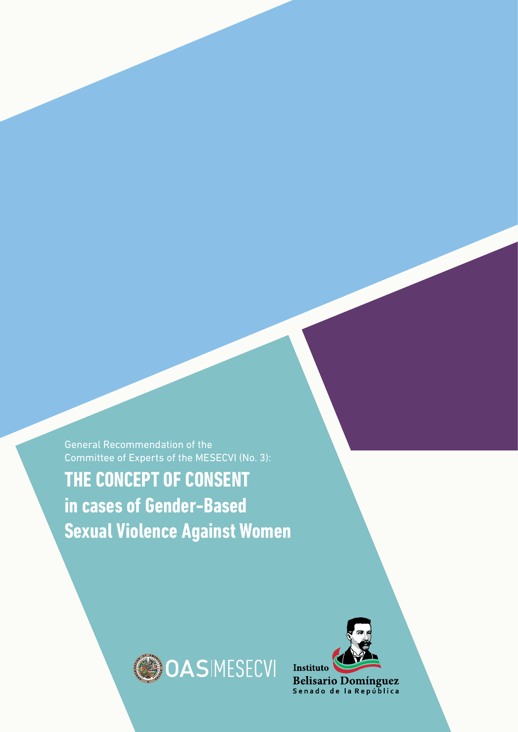General Recommendation of the Committee of Experts of the MESECVI (No. 3):

**THE CONCEPT OF CONSENT in cases of Gender-Based Sexual Violence Against Women**



Follow-Up Mechanism Belém Do Pará Convention (MESECVI)



Belisario Domínguez<br>Senado de la República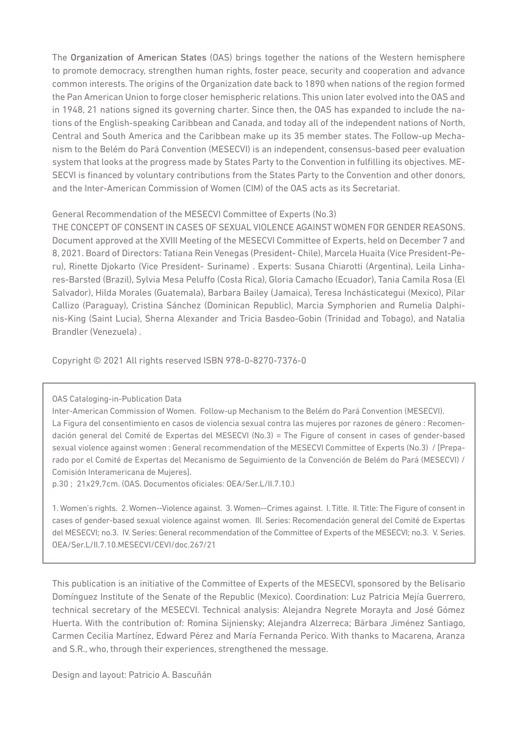The Organization of American States (OAS) brings together the nations of the Western hemisphere to promote democracy, strengthen human rights, foster peace, security and cooperation and advance common interests. The origins of the Organization date back to 1890 when nations of the region formed the Pan American Union to forge closer hemispheric relations. This union later evolved into the OAS and in 1948, 21 nations signed its governing charter. Since then, the OAS has expanded to include the nations of the English-speaking Caribbean and Canada, and today all of the independent nations of North, Central and South America and the Caribbean make up its 35 member states. The Follow-up Mechanism to the Belém do Pará Convention (MESECVI) is an independent, consensus-based peer evaluation system that looks at the progress made by States Party to the Convention in fulfilling its objectives. ME-SECVI is financed by voluntary contributions from the States Party to the Convention and other donors, and the Inter-American Commission of Women (CIM) of the OAS acts as its Secretariat.

#### General Recommendation of the MESECVI Committee of Experts (No.3)

THE CONCEPT OF CONSENT IN CASES OF SEXUAL VIOLENCE AGAINST WOMEN FOR GENDER REASONS. Document approved at the XVIII Meeting of the MESECVI Committee of Experts, held on December 7 and 8, 2021. Board of Directors: Tatiana Rein Venegas (President- Chile), Marcela Huaita (Vice President-Peru), Rinette Djokarto (Vice President- Suriname) . Experts: Susana Chiarotti (Argentina), Leila Linhares-Barsted (Brazil), Sylvia Mesa Peluffo (Costa Rica), Gloria Camacho (Ecuador), Tania Camila Rosa (El Salvador), Hilda Morales (Guatemala), Barbara Bailey (Jamaica), Teresa Inchásticategui (Mexico), Pilar Callizo (Paraguay), Cristina Sánchez (Dominican Republic), Marcia Symphorien and Rumelia Dalphinis-King (Saint Lucia), Sherna Alexander and Tricia Basdeo-Gobin (Trinidad and Tobago), and Natalia Brandler (Venezuela) .

Copyright © 2021 All rights reserved ISBN 978-0-8270-7376-0

#### OAS Cataloging-in-Publication Data

Inter-American Commission of Women. Follow-up Mechanism to the Belém do Pará Convention (MESECVI). La Figura del consentimiento en casos de violencia sexual contra las mujeres por razones de género : Recomendación general del Comité de Expertas del MESECVI (No.3) = The Figure of consent in cases of gender-based sexual violence against women : General recommendation of the MESECVI Committee of Experts (No.3) / [Preparado por el Comité de Expertas del Mecanismo de Seguimiento de la Convención de Belém do Pará (MESECVI) / Comisión Interamericana de Mujeres].

p.30 ; 21x29,7cm. (OAS. Documentos oficiales: OEA/Ser.L/II.7.10.)

1. Women's rights. 2. Women--Violence against. 3. Women--Crimes against. I. Title. II. Title: The Figure of consent in cases of gender-based sexual violence against women. III. Series: Recomendación general del Comité de Expertas del MESECVI; no.3. IV. Series: General recommendation of the Committee of Experts of the MESECVI; no.3. V. Series. OEA/Ser.L/II.7.10.MESECVI/CEVI/doc.267/21

This publication is an initiative of the Committee of Experts of the MESECVI, sponsored by the Belisario Domínguez Institute of the Senate of the Republic (Mexico). Coordination: Luz Patricia Mejía Guerrero, technical secretary of the MESECVI. Technical analysis: Alejandra Negrete Morayta and José Gómez Huerta. With the contribution of: Romina Sijniensky; Alejandra Alzerreca; Bárbara Jiménez Santiago, Carmen Cecilia Martínez, Edward Pérez and María Fernanda Perico. With thanks to Macarena, Aranza and S.R., who, through their experiences, strengthened the message.

Design and layout: Patricio A. Bascuñán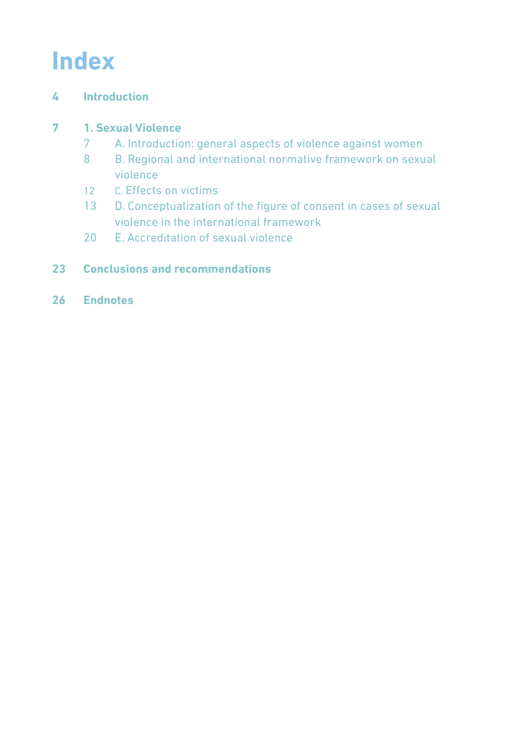## **Index**

### **[Introduction](#page-3-0)**

### **[1. Sexual Violence](#page-6-0)**

- [A. Introduction: general aspects of violence against women](#page-6-0)
- [B. Regional and international normative framework on sexual](#page-7-0)   [violence](#page-7-0)
- C. [Effects on victims](#page-11-0)
- [D. Conceptualization of the figure of consent in cases of sexual](#page-12-0)   [violence in the international framework](#page-12-0)
- [E. Accreditation of sexual violence](#page-19-0)

### **[Conclusions and recommendations](#page-22-0)**

**[Endnotes](#page-25-0)**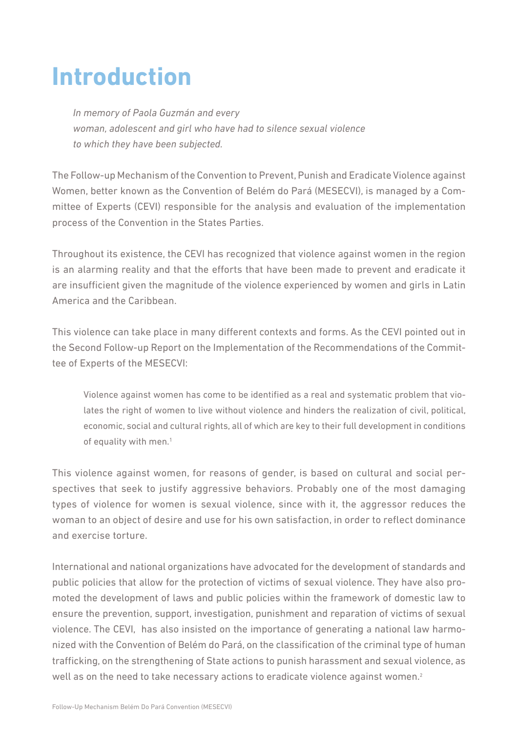## <span id="page-3-0"></span>**Introduction**

*In memory of Paola Guzmán and every woman, adolescent and girl who have had to silence sexual violence to which they have been subjected.*

The Follow-up Mechanism of the Convention to Prevent, Punish and Eradicate Violence against Women, better known as the Convention of Belém do Pará (MESECVI), is managed by a Committee of Experts (CEVI) responsible for the analysis and evaluation of the implementation process of the Convention in the States Parties.

Throughout its existence, the CEVI has recognized that violence against women in the region is an alarming reality and that the efforts that have been made to prevent and eradicate it are insufficient given the magnitude of the violence experienced by women and girls in Latin America and the Caribbean.

This violence can take place in many different contexts and forms. As the CEVI pointed out in the Second Follow-up Report on the Implementation of the Recommendations of the Committee of Experts of the MESECVI:

Violence against women has come to be identified as a real and systematic problem that violates the right of women to live without violence and hinders the realization of civil, political, economic, social and cultural rights, all of which are key to their full development in conditions of equality with men.<sup>1</sup>

This violence against women, for reasons of gender, is based on cultural and social perspectives that seek to justify aggressive behaviors. Probably one of the most damaging types of violence for women is sexual violence, since with it, the aggressor reduces the woman to an object of desire and use for his own satisfaction, in order to reflect dominance and exercise torture.

International and national organizations have advocated for the development of standards and public policies that allow for the protection of victims of sexual violence. They have also promoted the development of laws and public policies within the framework of domestic law to ensure the prevention, support, investigation, punishment and reparation of victims of sexual violence. The CEVI, has also insisted on the importance of generating a national law harmonized with the Convention of Belém do Pará, on the classification of the criminal type of human trafficking, on the strengthening of State actions to punish harassment and sexual violence, as well as on the need to take necessary actions to eradicate violence against women.<sup>2</sup>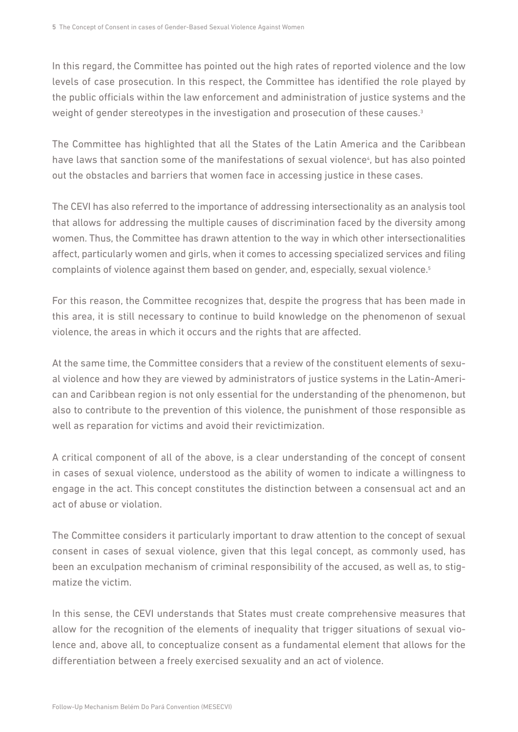In this regard, the Committee has pointed out the high rates of reported violence and the low levels of case prosecution. In this respect, the Committee has identified the role played by the public officials within the law enforcement and administration of justice systems and the weight of gender stereotypes in the investigation and prosecution of these causes.<sup>3</sup>

The Committee has highlighted that all the States of the Latin America and the Caribbean have laws that sanction some of the manifestations of sexual violence<sup>4</sup>, but has also pointed out the obstacles and barriers that women face in accessing justice in these cases.

The CEVI has also referred to the importance of addressing intersectionality as an analysis tool that allows for addressing the multiple causes of discrimination faced by the diversity among women. Thus, the Committee has drawn attention to the way in which other intersectionalities affect, particularly women and girls, when it comes to accessing specialized services and filing complaints of violence against them based on gender, and, especially, sexual violence.<sup>5</sup>

For this reason, the Committee recognizes that, despite the progress that has been made in this area, it is still necessary to continue to build knowledge on the phenomenon of sexual violence, the areas in which it occurs and the rights that are affected.

At the same time, the Committee considers that a review of the constituent elements of sexual violence and how they are viewed by administrators of justice systems in the Latin-American and Caribbean region is not only essential for the understanding of the phenomenon, but also to contribute to the prevention of this violence, the punishment of those responsible as well as reparation for victims and avoid their revictimization.

A critical component of all of the above, is a clear understanding of the concept of consent in cases of sexual violence, understood as the ability of women to indicate a willingness to engage in the act. This concept constitutes the distinction between a consensual act and an act of abuse or violation.

The Committee considers it particularly important to draw attention to the concept of sexual consent in cases of sexual violence, given that this legal concept, as commonly used, has been an exculpation mechanism of criminal responsibility of the accused, as well as, to stigmatize the victim.

In this sense, the CEVI understands that States must create comprehensive measures that allow for the recognition of the elements of inequality that trigger situations of sexual violence and, above all, to conceptualize consent as a fundamental element that allows for the differentiation between a freely exercised sexuality and an act of violence.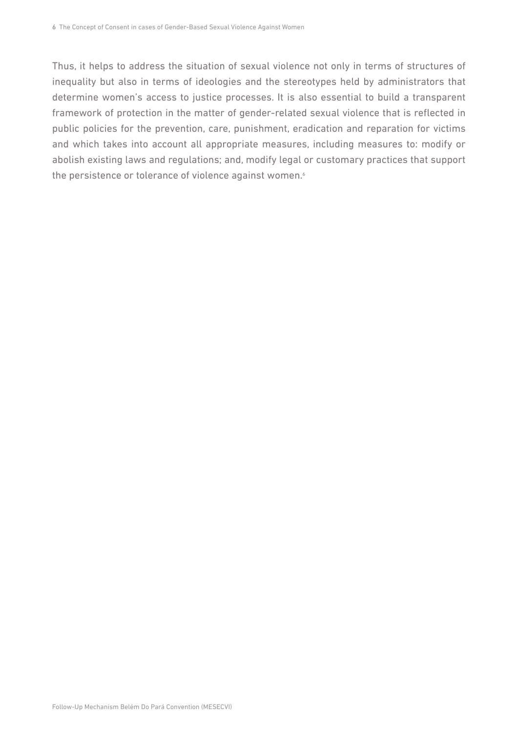Thus, it helps to address the situation of sexual violence not only in terms of structures of inequality but also in terms of ideologies and the stereotypes held by administrators that determine women's access to justice processes. It is also essential to build a transparent framework of protection in the matter of gender-related sexual violence that is reflected in public policies for the prevention, care, punishment, eradication and reparation for victims and which takes into account all appropriate measures, including measures to: modify or abolish existing laws and regulations; and, modify legal or customary practices that support the persistence or tolerance of violence against women.<sup>6</sup>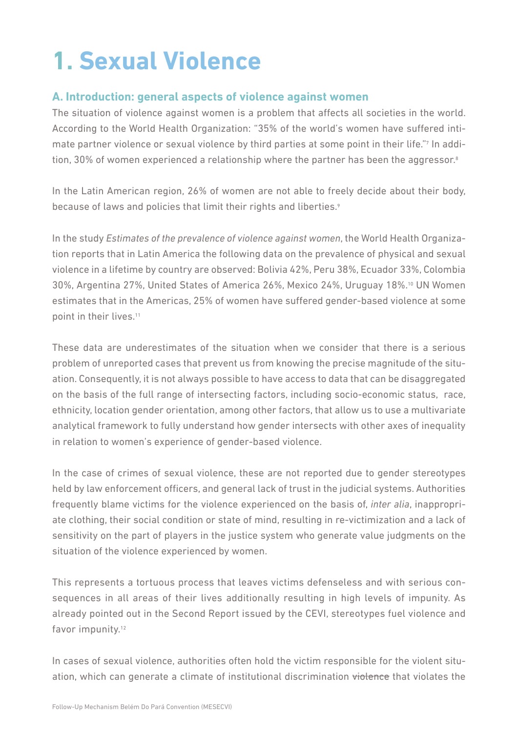# <span id="page-6-0"></span>**1. Sexual Violence**

#### **A. Introduction: general aspects of violence against women**

The situation of violence against women is a problem that affects all societies in the world. According to the World Health Organization: "35% of the world's women have suffered intimate partner violence or sexual violence by third parties at some point in their life."7 In addition, 30% of women experienced a relationship where the partner has been the aggressor.<sup>8</sup>

In the Latin American region, 26% of women are not able to freely decide about their body, because of laws and policies that limit their rights and liberties.<sup>9</sup>

In the study *Estimates of the prevalence of violence against women*, the World Health Organization reports that in Latin America the following data on the prevalence of physical and sexual violence in a lifetime by country are observed: Bolivia 42%, Peru 38%, Ecuador 33%, Colombia 30%, Argentina 27%, United States of America 26%, Mexico 24%, Uruguay 18%.10 UN Women estimates that in the Americas, 25% of women have suffered gender-based violence at some point in their lives.11

These data are underestimates of the situation when we consider that there is a serious problem of unreported cases that prevent us from knowing the precise magnitude of the situation. Consequently, it is not always possible to have access to data that can be disaggregated on the basis of the full range of intersecting factors, including socio-economic status, race, ethnicity, location gender orientation, among other factors, that allow us to use a multivariate analytical framework to fully understand how gender intersects with other axes of inequality in relation to women's experience of gender-based violence.

In the case of crimes of sexual violence, these are not reported due to gender stereotypes held by law enforcement officers, and general lack of trust in the judicial systems. Authorities frequently blame victims for the violence experienced on the basis of, *inter alia*, inappropriate clothing, their social condition or state of mind, resulting in re-victimization and a lack of sensitivity on the part of players in the justice system who generate value judgments on the situation of the violence experienced by women.

This represents a tortuous process that leaves victims defenseless and with serious consequences in all areas of their lives additionally resulting in high levels of impunity. As already pointed out in the Second Report issued by the CEVI, stereotypes fuel violence and favor impunity.<sup>12</sup>

In cases of sexual violence, authorities often hold the victim responsible for the violent situation, which can generate a climate of institutional discrimination violence that violates the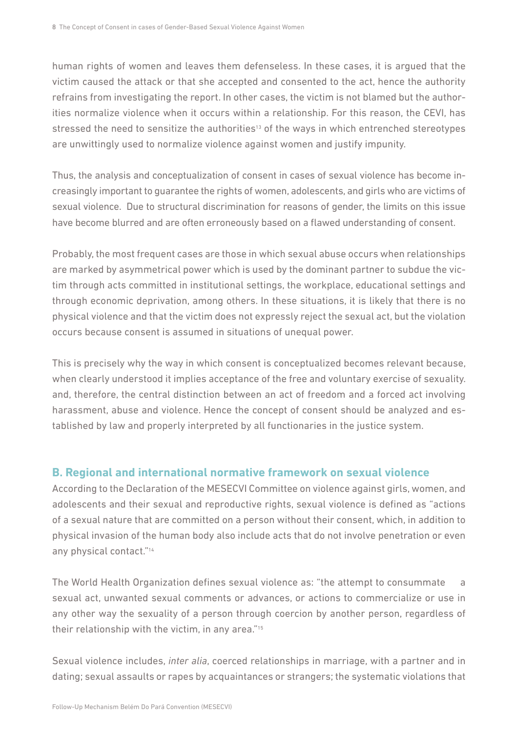<span id="page-7-0"></span>human rights of women and leaves them defenseless. In these cases, it is argued that the victim caused the attack or that she accepted and consented to the act, hence the authority refrains from investigating the report. In other cases, the victim is not blamed but the authorities normalize violence when it occurs within a relationship. For this reason, the CEVI, has stressed the need to sensitize the authorities<sup>13</sup> of the ways in which entrenched stereotypes are unwittingly used to normalize violence against women and justify impunity.

Thus, the analysis and conceptualization of consent in cases of sexual violence has become increasingly important to guarantee the rights of women, adolescents, and girls who are victims of sexual violence. Due to structural discrimination for reasons of gender, the limits on this issue have become blurred and are often erroneously based on a flawed understanding of consent.

Probably, the most frequent cases are those in which sexual abuse occurs when relationships are marked by asymmetrical power which is used by the dominant partner to subdue the victim through acts committed in institutional settings, the workplace, educational settings and through economic deprivation, among others. In these situations, it is likely that there is no physical violence and that the victim does not expressly reject the sexual act, but the violation occurs because consent is assumed in situations of unequal power.

This is precisely why the way in which consent is conceptualized becomes relevant because, when clearly understood it implies acceptance of the free and voluntary exercise of sexuality. and, therefore, the central distinction between an act of freedom and a forced act involving harassment, abuse and violence. Hence the concept of consent should be analyzed and established by law and properly interpreted by all functionaries in the justice system.

#### **B. Regional and international normative framework on sexual violence**

According to the Declaration of the MESECVI Committee on violence against girls, women, and adolescents and their sexual and reproductive rights, sexual violence is defined as "actions of a sexual nature that are committed on a person without their consent, which, in addition to physical invasion of the human body also include acts that do not involve penetration or even any physical contact."14

The World Health Organization defines sexual violence as: "the attempt to consummate a sexual act, unwanted sexual comments or advances, or actions to commercialize or use in any other way the sexuality of a person through coercion by another person, regardless of their relationship with the victim, in any area."15

Sexual violence includes, *inter alia*, coerced relationships in marriage, with a partner and in dating; sexual assaults or rapes by acquaintances or strangers; the systematic violations that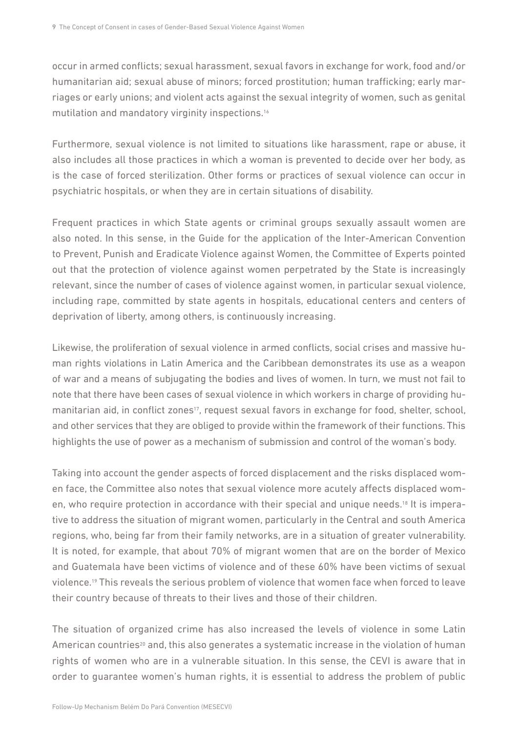occur in armed conflicts; sexual harassment, sexual favors in exchange for work, food and/or humanitarian aid; sexual abuse of minors; forced prostitution; human trafficking; early marriages or early unions; and violent acts against the sexual integrity of women, such as genital mutilation and mandatory virginity inspections.16

Furthermore, sexual violence is not limited to situations like harassment, rape or abuse, it also includes all those practices in which a woman is prevented to decide over her body, as is the case of forced sterilization. Other forms or practices of sexual violence can occur in psychiatric hospitals, or when they are in certain situations of disability.

Frequent practices in which State agents or criminal groups sexually assault women are also noted. In this sense, in the Guide for the application of the Inter-American Convention to Prevent, Punish and Eradicate Violence against Women, the Committee of Experts pointed out that the protection of violence against women perpetrated by the State is increasingly relevant, since the number of cases of violence against women, in particular sexual violence, including rape, committed by state agents in hospitals, educational centers and centers of deprivation of liberty, among others, is continuously increasing.

Likewise, the proliferation of sexual violence in armed conflicts, social crises and massive human rights violations in Latin America and the Caribbean demonstrates its use as a weapon of war and a means of subjugating the bodies and lives of women. In turn, we must not fail to note that there have been cases of sexual violence in which workers in charge of providing humanitarian aid, in conflict zones<sup>17</sup>, request sexual favors in exchange for food, shelter, school, and other services that they are obliged to provide within the framework of their functions. This highlights the use of power as a mechanism of submission and control of the woman's body.

Taking into account the gender aspects of forced displacement and the risks displaced women face, the Committee also notes that sexual violence more acutely affects displaced women, who require protection in accordance with their special and unique needs.18 It is imperative to address the situation of migrant women, particularly in the Central and south America regions, who, being far from their family networks, are in a situation of greater vulnerability. It is noted, for example, that about 70% of migrant women that are on the border of Mexico and Guatemala have been victims of violence and of these 60% have been victims of sexual violence.19 This reveals the serious problem of violence that women face when forced to leave their country because of threats to their lives and those of their children.

The situation of organized crime has also increased the levels of violence in some Latin American countries<sup>20</sup> and, this also generates a systematic increase in the violation of human rights of women who are in a vulnerable situation. In this sense, the CEVI is aware that in order to guarantee women's human rights, it is essential to address the problem of public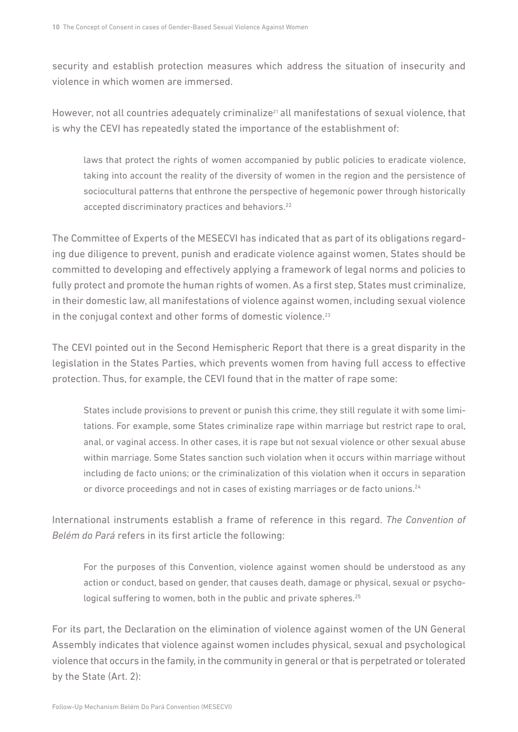security and establish protection measures which address the situation of insecurity and violence in which women are immersed.

However, not all countries adequately criminalize<sup>21</sup> all manifestations of sexual violence, that is why the CEVI has repeatedly stated the importance of the establishment of:

laws that protect the rights of women accompanied by public policies to eradicate violence, taking into account the reality of the diversity of women in the region and the persistence of sociocultural patterns that enthrone the perspective of hegemonic power through historically accepted discriminatory practices and behaviors.<sup>22</sup>

The Committee of Experts of the MESECVI has indicated that as part of its obligations regarding due diligence to prevent, punish and eradicate violence against women, States should be committed to developing and effectively applying a framework of legal norms and policies to fully protect and promote the human rights of women. As a first step, States must criminalize, in their domestic law, all manifestations of violence against women, including sexual violence in the conjugal context and other forms of domestic violence.<sup>23</sup>

The CEVI pointed out in the Second Hemispheric Report that there is a great disparity in the legislation in the States Parties, which prevents women from having full access to effective protection. Thus, for example, the CEVI found that in the matter of rape some:

States include provisions to prevent or punish this crime, they still regulate it with some limitations. For example, some States criminalize rape within marriage but restrict rape to oral, anal, or vaginal access. In other cases, it is rape but not sexual violence or other sexual abuse within marriage. Some States sanction such violation when it occurs within marriage without including de facto unions; or the criminalization of this violation when it occurs in separation or divorce proceedings and not in cases of existing marriages or de facto unions.<sup>24</sup>

International instruments establish a frame of reference in this regard. *The Convention of Belém do Pará* refers in its first article the following:

For the purposes of this Convention, violence against women should be understood as any action or conduct, based on gender, that causes death, damage or physical, sexual or psychological suffering to women, both in the public and private spheres.<sup>25</sup>

For its part, the Declaration on the elimination of violence against women of the UN General Assembly indicates that violence against women includes physical, sexual and psychological violence that occurs in the family, in the community in general or that is perpetrated or tolerated by the State (Art. 2):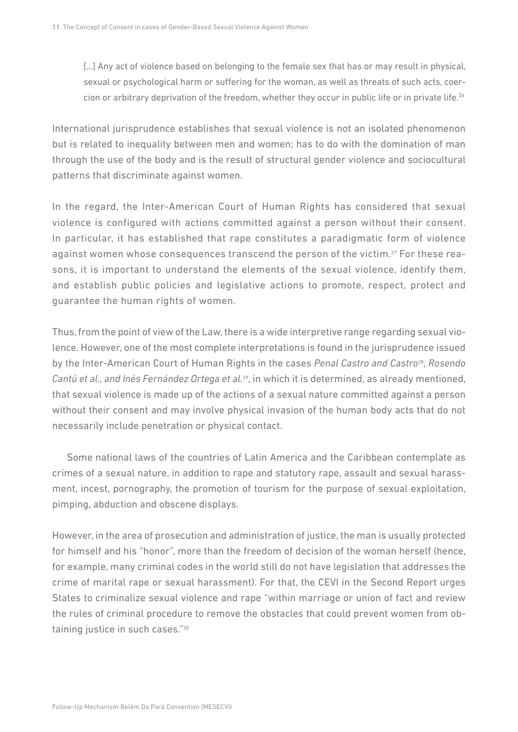[...] Any act of violence based on belonging to the female sex that has or may result in physical, sexual or psychological harm or suffering for the woman, as well as threats of such acts, coercion or arbitrary deprivation of the freedom, whether they occur in public life or in private life.<sup>26</sup>

International jurisprudence establishes that sexual violence is not an isolated phenomenon but is related to inequality between men and women; has to do with the domination of man through the use of the body and is the result of structural gender violence and sociocultural patterns that discriminate against women.

In the regard, the Inter-American Court of Human Rights has considered that sexual violence is configured with actions committed against a person without their consent. In particular, it has established that rape constitutes a paradigmatic form of violence against women whose consequences transcend the person of the victim.27 For these reasons, it is important to understand the elements of the sexual violence, identify them, and establish public policies and legislative actions to promote, respect, protect and guarantee the human rights of women.

Thus, from the point of view of the Law, there is a wide interpretive range regarding sexual violence. However, one of the most complete interpretations is found in the jurisprudence issued by the Inter-American Court of Human Rights in the cases *Penal Castro and Castro*28*, Rosendo Cantú et al., and Inés Fernández Ortega et al.*29, in which it is determined, as already mentioned, that sexual violence is made up of the actions of a sexual nature committed against a person without their consent and may involve physical invasion of the human body acts that do not necessarily include penetration or physical contact.

 Some national laws of the countries of Latin America and the Caribbean contemplate as crimes of a sexual nature, in addition to rape and statutory rape, assault and sexual harassment, incest, pornography, the promotion of tourism for the purpose of sexual exploitation, pimping, abduction and obscene displays.

However, in the area of prosecution and administration of justice, the man is usually protected for himself and his "honor", more than the freedom of decision of the woman herself (hence, for example, many criminal codes in the world still do not have legislation that addresses the crime of marital rape or sexual harassment). For that, the CEVI in the Second Report urges States to criminalize sexual violence and rape "within marriage or union of fact and review the rules of criminal procedure to remove the obstacles that could prevent women from obtaining justice in such cases."30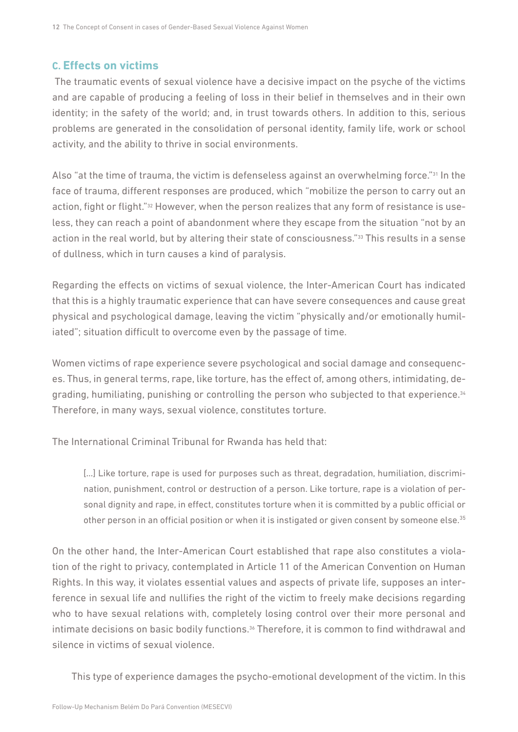#### <span id="page-11-0"></span>**C. Effects on victims**

 The traumatic events of sexual violence have a decisive impact on the psyche of the victims and are capable of producing a feeling of loss in their belief in themselves and in their own identity; in the safety of the world; and, in trust towards others. In addition to this, serious problems are generated in the consolidation of personal identity, family life, work or school activity, and the ability to thrive in social environments.

Also "at the time of trauma, the victim is defenseless against an overwhelming force."31 In the face of trauma, different responses are produced, which "mobilize the person to carry out an action, fight or flight."32 However, when the person realizes that any form of resistance is useless, they can reach a point of abandonment where they escape from the situation "not by an action in the real world, but by altering their state of consciousness."33 This results in a sense of dullness, which in turn causes a kind of paralysis.

Regarding the effects on victims of sexual violence, the Inter-American Court has indicated that this is a highly traumatic experience that can have severe consequences and cause great physical and psychological damage, leaving the victim "physically and/or emotionally humiliated"; situation difficult to overcome even by the passage of time.

Women victims of rape experience severe psychological and social damage and consequences. Thus, in general terms, rape, like torture, has the effect of, among others, intimidating, degrading, humiliating, punishing or controlling the person who subjected to that experience.<sup>34</sup> Therefore, in many ways, sexual violence, constitutes torture.

The International Criminal Tribunal for Rwanda has held that:

[...] Like torture, rape is used for purposes such as threat, degradation, humiliation, discrimination, punishment, control or destruction of a person. Like torture, rape is a violation of personal dignity and rape, in effect, constitutes torture when it is committed by a public official or other person in an official position or when it is instigated or given consent by someone else.<sup>35</sup>

On the other hand, the Inter-American Court established that rape also constitutes a violation of the right to privacy, contemplated in Article 11 of the American Convention on Human Rights. In this way, it violates essential values and aspects of private life, supposes an interference in sexual life and nullifies the right of the victim to freely make decisions regarding who to have sexual relations with, completely losing control over their more personal and intimate decisions on basic bodily functions.<sup>36</sup> Therefore, it is common to find withdrawal and silence in victims of sexual violence.

This type of experience damages the psycho-emotional development of the victim. In this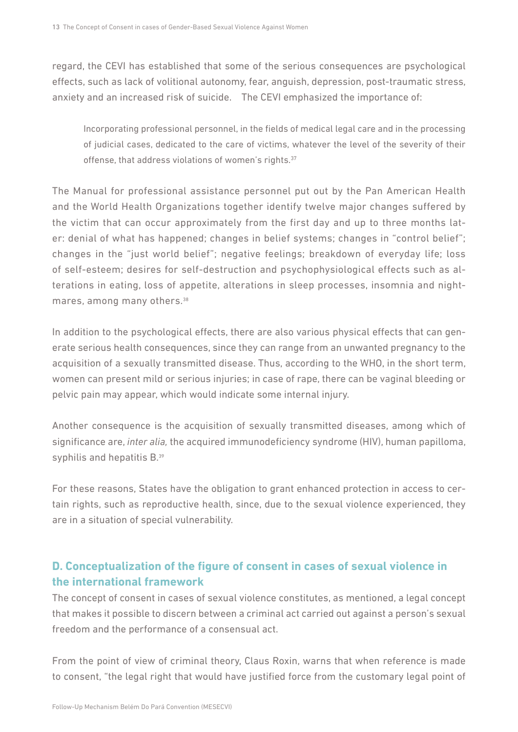<span id="page-12-0"></span>regard, the CEVI has established that some of the serious consequences are psychological effects, such as lack of volitional autonomy, fear, anguish, depression, post-traumatic stress, anxiety and an increased risk of suicide. The CEVI emphasized the importance of:

Incorporating professional personnel, in the fields of medical legal care and in the processing of judicial cases, dedicated to the care of victims, whatever the level of the severity of their offense, that address violations of women's rights.<sup>37</sup>

The Manual for professional assistance personnel put out by the Pan American Health and the World Health Organizations together identify twelve major changes suffered by the victim that can occur approximately from the first day and up to three months later: denial of what has happened; changes in belief systems; changes in "control belief"; changes in the "just world belief"; negative feelings; breakdown of everyday life; loss of self-esteem; desires for self-destruction and psychophysiological effects such as alterations in eating, loss of appetite, alterations in sleep processes, insomnia and nightmares, among many others.38

In addition to the psychological effects, there are also various physical effects that can generate serious health consequences, since they can range from an unwanted pregnancy to the acquisition of a sexually transmitted disease. Thus, according to the WHO, in the short term, women can present mild or serious injuries; in case of rape, there can be vaginal bleeding or pelvic pain may appear, which would indicate some internal injury.

Another consequence is the acquisition of sexually transmitted diseases, among which of significance are, *inter alia,* the acquired immunodeficiency syndrome (HIV), human papilloma, syphilis and hepatitis B.<sup>39</sup>

For these reasons, States have the obligation to grant enhanced protection in access to certain rights, such as reproductive health, since, due to the sexual violence experienced, they are in a situation of special vulnerability.

#### **D. Conceptualization of the figure of consent in cases of sexual violence in the international framework**

The concept of consent in cases of sexual violence constitutes, as mentioned, a legal concept that makes it possible to discern between a criminal act carried out against a person's sexual freedom and the performance of a consensual act.

From the point of view of criminal theory, Claus Roxin, warns that when reference is made to consent, "the legal right that would have justified force from the customary legal point of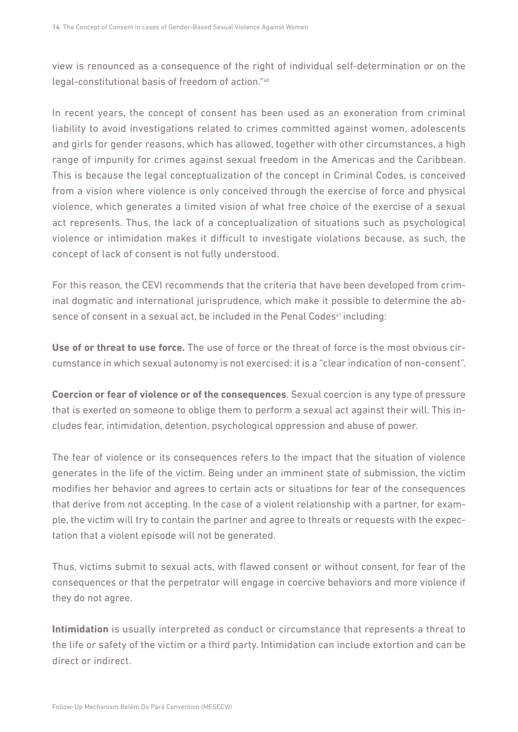view is renounced as a consequence of the right of individual self-determination or on the legal-constitutional basis of freedom of action."40

In recent years, the concept of consent has been used as an exoneration from criminal liability to avoid investigations related to crimes committed against women, adolescents and girls for gender reasons, which has allowed, together with other circumstances, a high range of impunity for crimes against sexual freedom in the Americas and the Caribbean. This is because the legal conceptualization of the concept in Criminal Codes, is conceived from a vision where violence is only conceived through the exercise of force and physical violence, which generates a limited vision of what free choice of the exercise of a sexual act represents. Thus, the lack of a conceptualization of situations such as psychological violence or intimidation makes it difficult to investigate violations because, as such, the concept of lack of consent is not fully understood.

For this reason, the CEVI recommends that the criteria that have been developed from criminal dogmatic and international jurisprudence, which make it possible to determine the absence of consent in a sexual act, be included in the Penal Codes<sup>41</sup> including:

**Use of or threat to use force.** The use of force or the threat of force is the most obvious circumstance in which sexual autonomy is not exercised: it is a "clear indication of non-consent".

**Coercion or fear of violence or of the consequences**. Sexual coercion is any type of pressure that is exerted on someone to oblige them to perform a sexual act against their will. This includes fear, intimidation, detention, psychological oppression and abuse of power.

The fear of violence or its consequences refers to the impact that the situation of violence generates in the life of the victim. Being under an imminent state of submission, the victim modifies her behavior and agrees to certain acts or situations for fear of the consequences that derive from not accepting. In the case of a violent relationship with a partner, for example, the victim will try to contain the partner and agree to threats or requests with the expectation that a violent episode will not be generated.

Thus, victims submit to sexual acts, with flawed consent or without consent, for fear of the consequences or that the perpetrator will engage in coercive behaviors and more violence if they do not agree.

**Intimidation** is usually interpreted as conduct or circumstance that represents a threat to the life or safety of the victim or a third party. Intimidation can include extortion and can be direct or indirect.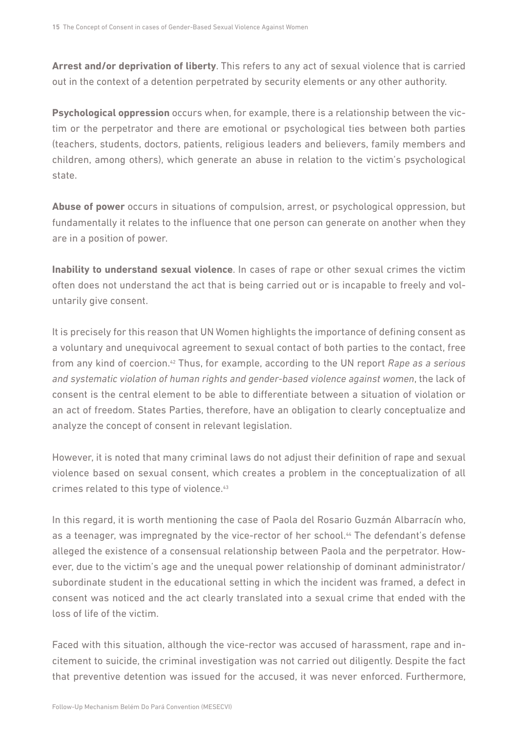**Arrest and/or deprivation of liberty**. This refers to any act of sexual violence that is carried out in the context of a detention perpetrated by security elements or any other authority.

**Psychological oppression** occurs when, for example, there is a relationship between the victim or the perpetrator and there are emotional or psychological ties between both parties (teachers, students, doctors, patients, religious leaders and believers, family members and children, among others), which generate an abuse in relation to the victim's psychological state.

**Abuse of power** occurs in situations of compulsion, arrest, or psychological oppression, but fundamentally it relates to the influence that one person can generate on another when they are in a position of power.

**Inability to understand sexual violence**. In cases of rape or other sexual crimes the victim often does not understand the act that is being carried out or is incapable to freely and voluntarily give consent.

It is precisely for this reason that UN Women highlights the importance of defining consent as a voluntary and unequivocal agreement to sexual contact of both parties to the contact, free from any kind of coercion.42 Thus, for example, according to the UN report *Rape as a serious and systematic violation of human rights and gender-based violence against women*, the lack of consent is the central element to be able to differentiate between a situation of violation or an act of freedom. States Parties, therefore, have an obligation to clearly conceptualize and analyze the concept of consent in relevant legislation.

However, it is noted that many criminal laws do not adjust their definition of rape and sexual violence based on sexual consent, which creates a problem in the conceptualization of all crimes related to this type of violence.43

In this regard, it is worth mentioning the case of Paola del Rosario Guzmán Albarracín who, as a teenager, was impregnated by the vice-rector of her school.<sup>44</sup> The defendant's defense alleged the existence of a consensual relationship between Paola and the perpetrator. However, due to the victim's age and the unequal power relationship of dominant administrator/ subordinate student in the educational setting in which the incident was framed, a defect in consent was noticed and the act clearly translated into a sexual crime that ended with the loss of life of the victim.

Faced with this situation, although the vice-rector was accused of harassment, rape and incitement to suicide, the criminal investigation was not carried out diligently. Despite the fact that preventive detention was issued for the accused, it was never enforced. Furthermore,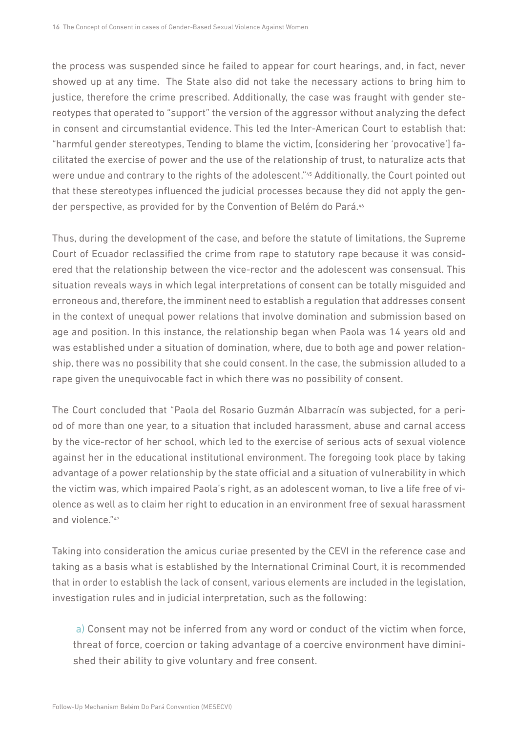the process was suspended since he failed to appear for court hearings, and, in fact, never showed up at any time. The State also did not take the necessary actions to bring him to justice, therefore the crime prescribed. Additionally, the case was fraught with gender stereotypes that operated to "support" the version of the aggressor without analyzing the defect in consent and circumstantial evidence. This led the Inter-American Court to establish that: "harmful gender stereotypes, Tending to blame the victim, [considering her 'provocative'] facilitated the exercise of power and the use of the relationship of trust, to naturalize acts that were undue and contrary to the rights of the adolescent."45 Additionally, the Court pointed out that these stereotypes influenced the judicial processes because they did not apply the gender perspective, as provided for by the Convention of Belém do Pará.<sup>46</sup>

Thus, during the development of the case, and before the statute of limitations, the Supreme Court of Ecuador reclassified the crime from rape to statutory rape because it was considered that the relationship between the vice-rector and the adolescent was consensual. This situation reveals ways in which legal interpretations of consent can be totally misguided and erroneous and, therefore, the imminent need to establish a regulation that addresses consent in the context of unequal power relations that involve domination and submission based on age and position. In this instance, the relationship began when Paola was 14 years old and was established under a situation of domination, where, due to both age and power relationship, there was no possibility that she could consent. In the case, the submission alluded to a rape given the unequivocable fact in which there was no possibility of consent.

The Court concluded that "Paola del Rosario Guzmán Albarracín was subjected, for a period of more than one year, to a situation that included harassment, abuse and carnal access by the vice-rector of her school, which led to the exercise of serious acts of sexual violence against her in the educational institutional environment. The foregoing took place by taking advantage of a power relationship by the state official and a situation of vulnerability in which the victim was, which impaired Paola's right, as an adolescent woman, to live a life free of violence as well as to claim her right to education in an environment free of sexual harassment and violence."47

Taking into consideration the amicus curiae presented by the CEVI in the reference case and taking as a basis what is established by the International Criminal Court, it is recommended that in order to establish the lack of consent, various elements are included in the legislation, investigation rules and in judicial interpretation, such as the following:

 a) Consent may not be inferred from any word or conduct of the victim when force, threat of force, coercion or taking advantage of a coercive environment have diminished their ability to give voluntary and free consent.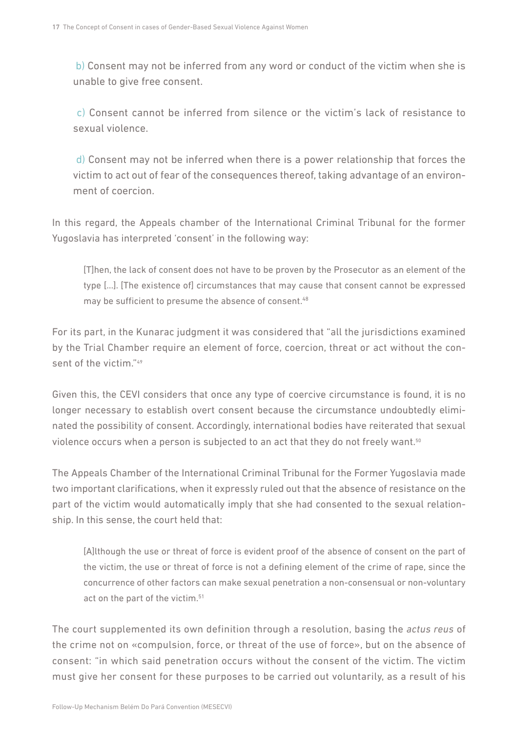b) Consent may not be inferred from any word or conduct of the victim when she is unable to give free consent.

 c) Consent cannot be inferred from silence or the victim's lack of resistance to sexual violence.

 d) Consent may not be inferred when there is a power relationship that forces the victim to act out of fear of the consequences thereof, taking advantage of an environment of coercion.

In this regard, the Appeals chamber of the International Criminal Tribunal for the former Yugoslavia has interpreted 'consent' in the following way:

[T]hen, the lack of consent does not have to be proven by the Prosecutor as an element of the type […]. [The existence of] circumstances that may cause that consent cannot be expressed may be sufficient to presume the absence of consent.<sup>48</sup>

For its part, in the Kunarac judgment it was considered that "all the jurisdictions examined by the Trial Chamber require an element of force, coercion, threat or act without the consent of the victim."49

Given this, the CEVI considers that once any type of coercive circumstance is found, it is no longer necessary to establish overt consent because the circumstance undoubtedly eliminated the possibility of consent. Accordingly, international bodies have reiterated that sexual violence occurs when a person is subjected to an act that they do not freely want.<sup>50</sup>

The Appeals Chamber of the International Criminal Tribunal for the Former Yugoslavia made two important clarifications, when it expressly ruled out that the absence of resistance on the part of the victim would automatically imply that she had consented to the sexual relationship. In this sense, the court held that:

[A]lthough the use or threat of force is evident proof of the absence of consent on the part of the victim, the use or threat of force is not a defining element of the crime of rape, since the concurrence of other factors can make sexual penetration a non-consensual or non-voluntary act on the part of the victim.<sup>51</sup>

The court supplemented its own definition through a resolution, basing the *actus reus* of the crime not on «compulsion, force, or threat of the use of force», but on the absence of consent: "in which said penetration occurs without the consent of the victim. The victim must give her consent for these purposes to be carried out voluntarily, as a result of his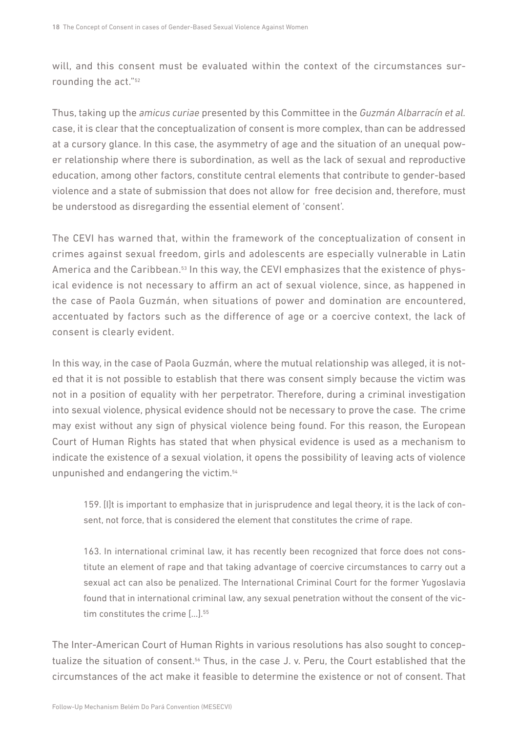will, and this consent must be evaluated within the context of the circumstances surrounding the act."<sup>52</sup>

Thus, taking up the *amicus curiae* presented by this Committee in the *Guzmán Albarracín et al.* case, it is clear that the conceptualization of consent is more complex, than can be addressed at a cursory glance. In this case, the asymmetry of age and the situation of an unequal power relationship where there is subordination, as well as the lack of sexual and reproductive education, among other factors, constitute central elements that contribute to gender-based violence and a state of submission that does not allow for free decision and, therefore, must be understood as disregarding the essential element of 'consent'.

The CEVI has warned that, within the framework of the conceptualization of consent in crimes against sexual freedom, girls and adolescents are especially vulnerable in Latin America and the Caribbean.<sup>53</sup> In this way, the CEVI emphasizes that the existence of physical evidence is not necessary to affirm an act of sexual violence, since, as happened in the case of Paola Guzmán, when situations of power and domination are encountered, accentuated by factors such as the difference of age or a coercive context, the lack of consent is clearly evident.

In this way, in the case of Paola Guzmán, where the mutual relationship was alleged, it is noted that it is not possible to establish that there was consent simply because the victim was not in a position of equality with her perpetrator. Therefore, during a criminal investigation into sexual violence, physical evidence should not be necessary to prove the case. The crime may exist without any sign of physical violence being found. For this reason, the European Court of Human Rights has stated that when physical evidence is used as a mechanism to indicate the existence of a sexual violation, it opens the possibility of leaving acts of violence unpunished and endangering the victim.54

159. [I]t is important to emphasize that in jurisprudence and legal theory, it is the lack of consent, not force, that is considered the element that constitutes the crime of rape.

163. In international criminal law, it has recently been recognized that force does not constitute an element of rape and that taking advantage of coercive circumstances to carry out a sexual act can also be penalized. The International Criminal Court for the former Yugoslavia found that in international criminal law, any sexual penetration without the consent of the victim constitutes the crime [...].<sup>55</sup>

The Inter-American Court of Human Rights in various resolutions has also sought to conceptualize the situation of consent.56 Thus, in the case J. v. Peru, the Court established that the circumstances of the act make it feasible to determine the existence or not of consent. That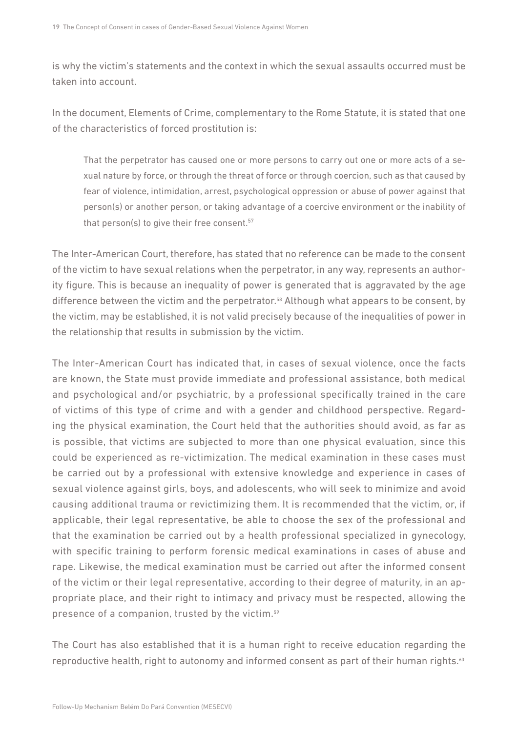is why the victim's statements and the context in which the sexual assaults occurred must be taken into account.

In the document, Elements of Crime, complementary to the Rome Statute, it is stated that one of the characteristics of forced prostitution is:

That the perpetrator has caused one or more persons to carry out one or more acts of a sexual nature by force, or through the threat of force or through coercion, such as that caused by fear of violence, intimidation, arrest, psychological oppression or abuse of power against that person(s) or another person, or taking advantage of a coercive environment or the inability of that person(s) to give their free consent.57

The Inter-American Court, therefore, has stated that no reference can be made to the consent of the victim to have sexual relations when the perpetrator, in any way, represents an authority figure. This is because an inequality of power is generated that is aggravated by the age difference between the victim and the perpetrator.58 Although what appears to be consent, by the victim, may be established, it is not valid precisely because of the inequalities of power in the relationship that results in submission by the victim.

The Inter-American Court has indicated that, in cases of sexual violence, once the facts are known, the State must provide immediate and professional assistance, both medical and psychological and/or psychiatric, by a professional specifically trained in the care of victims of this type of crime and with a gender and childhood perspective. Regarding the physical examination, the Court held that the authorities should avoid, as far as is possible, that victims are subjected to more than one physical evaluation, since this could be experienced as re-victimization. The medical examination in these cases must be carried out by a professional with extensive knowledge and experience in cases of sexual violence against girls, boys, and adolescents, who will seek to minimize and avoid causing additional trauma or revictimizing them. It is recommended that the victim, or, if applicable, their legal representative, be able to choose the sex of the professional and that the examination be carried out by a health professional specialized in gynecology, with specific training to perform forensic medical examinations in cases of abuse and rape. Likewise, the medical examination must be carried out after the informed consent of the victim or their legal representative, according to their degree of maturity, in an appropriate place, and their right to intimacy and privacy must be respected, allowing the presence of a companion, trusted by the victim.59

The Court has also established that it is a human right to receive education regarding the reproductive health, right to autonomy and informed consent as part of their human rights.<sup>60</sup>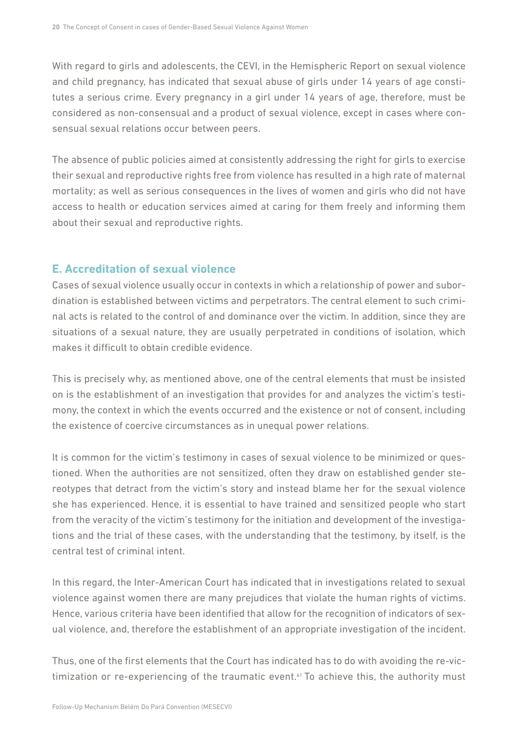<span id="page-19-0"></span>With regard to girls and adolescents, the CEVI, in the Hemispheric Report on sexual violence and child pregnancy, has indicated that sexual abuse of girls under 14 years of age constitutes a serious crime. Every pregnancy in a girl under 14 years of age, therefore, must be considered as non-consensual and a product of sexual violence, except in cases where consensual sexual relations occur between peers.

The absence of public policies aimed at consistently addressing the right for girls to exercise their sexual and reproductive rights free from violence has resulted in a high rate of maternal mortality; as well as serious consequences in the lives of women and girls who did not have access to health or education services aimed at caring for them freely and informing them about their sexual and reproductive rights.

#### **E. Accreditation of sexual violence**

Cases of sexual violence usually occur in contexts in which a relationship of power and subordination is established between victims and perpetrators. The central element to such criminal acts is related to the control of and dominance over the victim. In addition, since they are situations of a sexual nature, they are usually perpetrated in conditions of isolation, which makes it difficult to obtain credible evidence.

This is precisely why, as mentioned above, one of the central elements that must be insisted on is the establishment of an investigation that provides for and analyzes the victim's testimony, the context in which the events occurred and the existence or not of consent, including the existence of coercive circumstances as in unequal power relations.

It is common for the victim's testimony in cases of sexual violence to be minimized or questioned. When the authorities are not sensitized, often they draw on established gender stereotypes that detract from the victim's story and instead blame her for the sexual violence she has experienced. Hence, it is essential to have trained and sensitized people who start from the veracity of the victim's testimony for the initiation and development of the investigations and the trial of these cases, with the understanding that the testimony, by itself, is the central test of criminal intent.

In this regard, the Inter-American Court has indicated that in investigations related to sexual violence against women there are many prejudices that violate the human rights of victims. Hence, various criteria have been identified that allow for the recognition of indicators of sexual violence, and, therefore the establishment of an appropriate investigation of the incident.

Thus, one of the first elements that the Court has indicated has to do with avoiding the re-victimization or re-experiencing of the traumatic event.<sup>61</sup> To achieve this, the authority must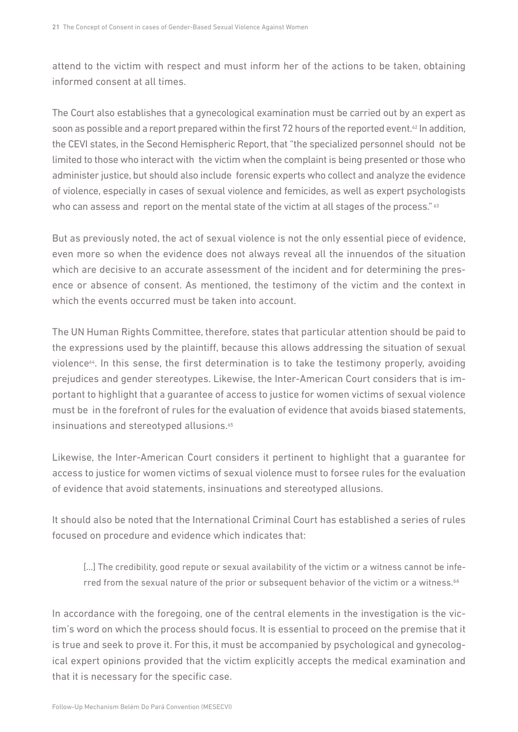attend to the victim with respect and must inform her of the actions to be taken, obtaining informed consent at all times.

The Court also establishes that a gynecological examination must be carried out by an expert as soon as possible and a report prepared within the first 72 hours of the reported event.<sup>62</sup> In addition, the CEVI states, in the Second Hemispheric Report, that "the specialized personnel should not be limited to those who interact with the victim when the complaint is being presented or those who administer justice, but should also include forensic experts who collect and analyze the evidence of violence, especially in cases of sexual violence and femicides, as well as expert psychologists who can assess and report on the mental state of the victim at all stages of the process." <sup>63</sup>

But as previously noted, the act of sexual violence is not the only essential piece of evidence, even more so when the evidence does not always reveal all the innuendos of the situation which are decisive to an accurate assessment of the incident and for determining the presence or absence of consent. As mentioned, the testimony of the victim and the context in which the events occurred must be taken into account.

The UN Human Rights Committee, therefore, states that particular attention should be paid to the expressions used by the plaintiff, because this allows addressing the situation of sexual violence<sup>64</sup>. In this sense, the first determination is to take the testimony properly, avoiding prejudices and gender stereotypes. Likewise, the Inter-American Court considers that is important to highlight that a guarantee of access to justice for women victims of sexual violence must be in the forefront of rules for the evaluation of evidence that avoids biased statements, insinuations and stereotyped allusions.<sup>65</sup>

Likewise, the Inter-American Court considers it pertinent to highlight that a guarantee for access to justice for women victims of sexual violence must to forsee rules for the evaluation of evidence that avoid statements, insinuations and stereotyped allusions.

It should also be noted that the International Criminal Court has established a series of rules focused on procedure and evidence which indicates that:

[...] The credibility, good repute or sexual availability of the victim or a witness cannot be inferred from the sexual nature of the prior or subsequent behavior of the victim or a witness.<sup>66</sup>

In accordance with the foregoing, one of the central elements in the investigation is the victim's word on which the process should focus. It is essential to proceed on the premise that it is true and seek to prove it. For this, it must be accompanied by psychological and gynecological expert opinions provided that the victim explicitly accepts the medical examination and that it is necessary for the specific case.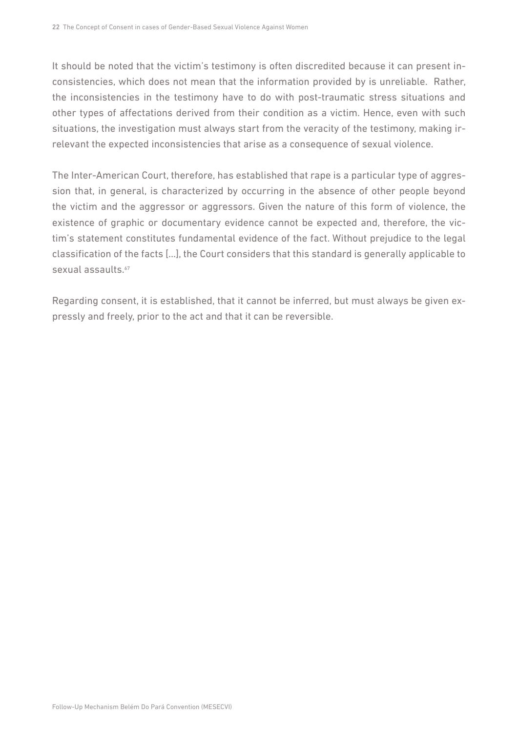It should be noted that the victim's testimony is often discredited because it can present inconsistencies, which does not mean that the information provided by is unreliable. Rather, the inconsistencies in the testimony have to do with post-traumatic stress situations and other types of affectations derived from their condition as a victim. Hence, even with such situations, the investigation must always start from the veracity of the testimony, making irrelevant the expected inconsistencies that arise as a consequence of sexual violence.

The Inter-American Court, therefore, has established that rape is a particular type of aggression that, in general, is characterized by occurring in the absence of other people beyond the victim and the aggressor or aggressors. Given the nature of this form of violence, the existence of graphic or documentary evidence cannot be expected and, therefore, the victim's statement constitutes fundamental evidence of the fact. Without prejudice to the legal classification of the facts […], the Court considers that this standard is generally applicable to sexual assaults.<sup>67</sup>

Regarding consent, it is established, that it cannot be inferred, but must always be given expressly and freely, prior to the act and that it can be reversible.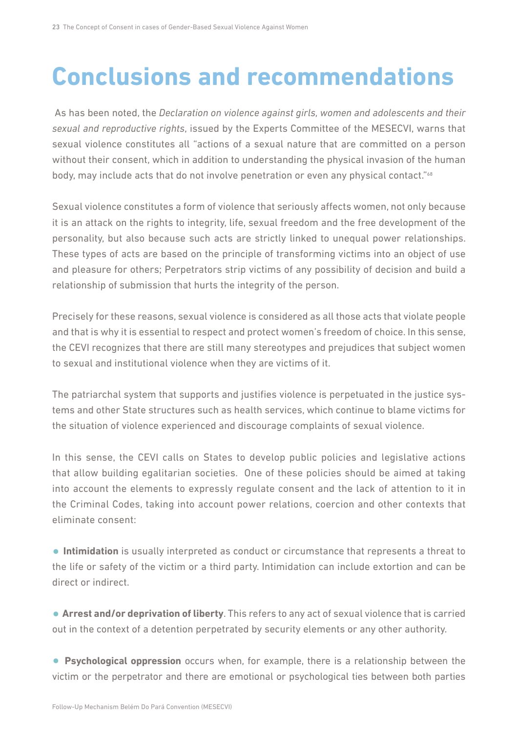# <span id="page-22-0"></span>**Conclusions and recommendations**

 As has been noted, the *Declaration on violence against girls, women and adolescents and their sexual and reproductive rights*, issued by the Experts Committee of the MESECVI, warns that sexual violence constitutes all "actions of a sexual nature that are committed on a person without their consent, which in addition to understanding the physical invasion of the human body, may include acts that do not involve penetration or even any physical contact."<sup>68</sup>

Sexual violence constitutes a form of violence that seriously affects women, not only because it is an attack on the rights to integrity, life, sexual freedom and the free development of the personality, but also because such acts are strictly linked to unequal power relationships. These types of acts are based on the principle of transforming victims into an object of use and pleasure for others; Perpetrators strip victims of any possibility of decision and build a relationship of submission that hurts the integrity of the person.

Precisely for these reasons, sexual violence is considered as all those acts that violate people and that is why it is essential to respect and protect women's freedom of choice. In this sense, the CEVI recognizes that there are still many stereotypes and prejudices that subject women to sexual and institutional violence when they are victims of it.

The patriarchal system that supports and justifies violence is perpetuated in the justice systems and other State structures such as health services, which continue to blame victims for the situation of violence experienced and discourage complaints of sexual violence.

In this sense, the CEVI calls on States to develop public policies and legislative actions that allow building egalitarian societies. One of these policies should be aimed at taking into account the elements to expressly regulate consent and the lack of attention to it in the Criminal Codes, taking into account power relations, coercion and other contexts that eliminate consent:

**• Intimidation** is usually interpreted as conduct or circumstance that represents a threat to the life or safety of the victim or a third party. Intimidation can include extortion and can be direct or indirect.

**• Arrest and/or deprivation of liberty**. This refers to any act of sexual violence that is carried out in the context of a detention perpetrated by security elements or any other authority.

**• Psychological oppression** occurs when, for example, there is a relationship between the victim or the perpetrator and there are emotional or psychological ties between both parties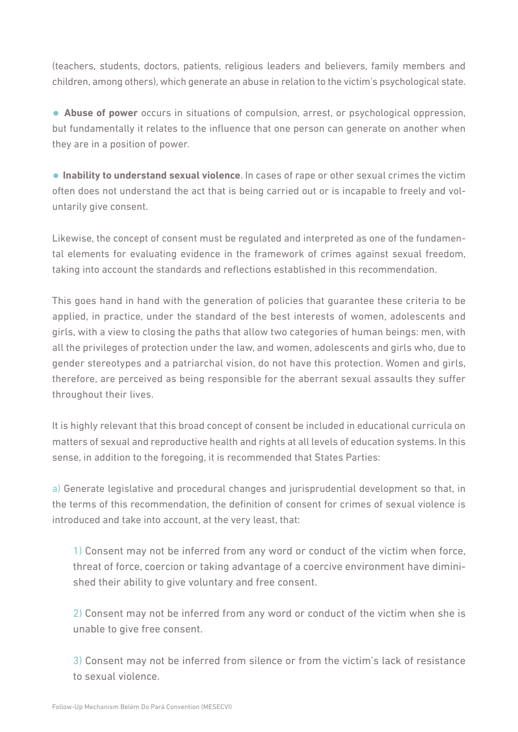(teachers, students, doctors, patients, religious leaders and believers, family members and children, among others), which generate an abuse in relation to the victim's psychological state.

**• Abuse of power** occurs in situations of compulsion, arrest, or psychological oppression, but fundamentally it relates to the influence that one person can generate on another when they are in a position of power.

**• Inability to understand sexual violence**. In cases of rape or other sexual crimes the victim often does not understand the act that is being carried out or is incapable to freely and voluntarily give consent.

Likewise, the concept of consent must be regulated and interpreted as one of the fundamental elements for evaluating evidence in the framework of crimes against sexual freedom, taking into account the standards and reflections established in this recommendation.

This goes hand in hand with the generation of policies that guarantee these criteria to be applied, in practice, under the standard of the best interests of women, adolescents and girls, with a view to closing the paths that allow two categories of human beings: men, with all the privileges of protection under the law, and women, adolescents and girls who, due to gender stereotypes and a patriarchal vision, do not have this protection. Women and girls, therefore, are perceived as being responsible for the aberrant sexual assaults they suffer throughout their lives.

It is highly relevant that this broad concept of consent be included in educational curricula on matters of sexual and reproductive health and rights at all levels of education systems. In this sense, in addition to the foregoing, it is recommended that States Parties:

a) Generate legislative and procedural changes and jurisprudential development so that, in the terms of this recommendation, the definition of consent for crimes of sexual violence is introduced and take into account, at the very least, that:

1) Consent may not be inferred from any word or conduct of the victim when force, threat of force, coercion or taking advantage of a coercive environment have diminished their ability to give voluntary and free consent.

2) Consent may not be inferred from any word or conduct of the victim when she is unable to give free consent.

3) Consent may not be inferred from silence or from the victim's lack of resistance to sexual violence.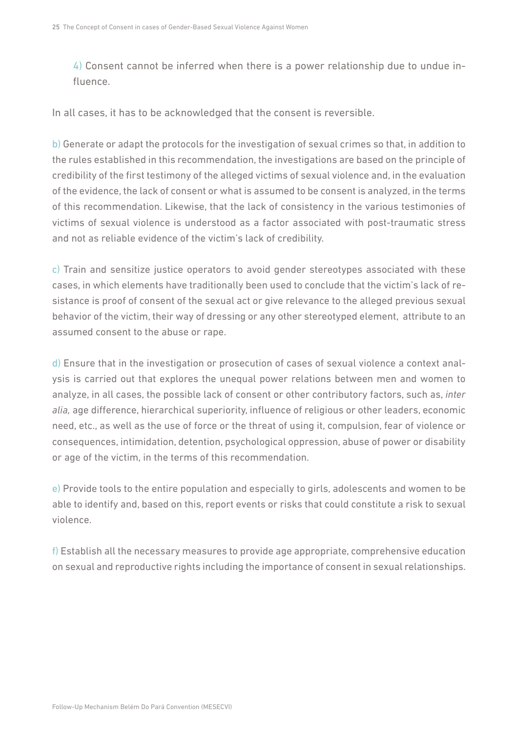4) Consent cannot be inferred when there is a power relationship due to undue influence.

In all cases, it has to be acknowledged that the consent is reversible.

b) Generate or adapt the protocols for the investigation of sexual crimes so that, in addition to the rules established in this recommendation, the investigations are based on the principle of credibility of the first testimony of the alleged victims of sexual violence and, in the evaluation of the evidence, the lack of consent or what is assumed to be consent is analyzed, in the terms of this recommendation. Likewise, that the lack of consistency in the various testimonies of victims of sexual violence is understood as a factor associated with post-traumatic stress and not as reliable evidence of the victim's lack of credibility.

c) Train and sensitize justice operators to avoid gender stereotypes associated with these cases, in which elements have traditionally been used to conclude that the victim's lack of resistance is proof of consent of the sexual act or give relevance to the alleged previous sexual behavior of the victim, their way of dressing or any other stereotyped element, attribute to an assumed consent to the abuse or rape.

d) Ensure that in the investigation or prosecution of cases of sexual violence a context analysis is carried out that explores the unequal power relations between men and women to analyze, in all cases, the possible lack of consent or other contributory factors, such as, *inter alia,* age difference, hierarchical superiority, influence of religious or other leaders, economic need, etc., as well as the use of force or the threat of using it, compulsion, fear of violence or consequences, intimidation, detention, psychological oppression, abuse of power or disability or age of the victim, in the terms of this recommendation.

e) Provide tools to the entire population and especially to girls, adolescents and women to be able to identify and, based on this, report events or risks that could constitute a risk to sexual violence.

f) Establish all the necessary measures to provide age appropriate, comprehensive education on sexual and reproductive rights including the importance of consent in sexual relationships.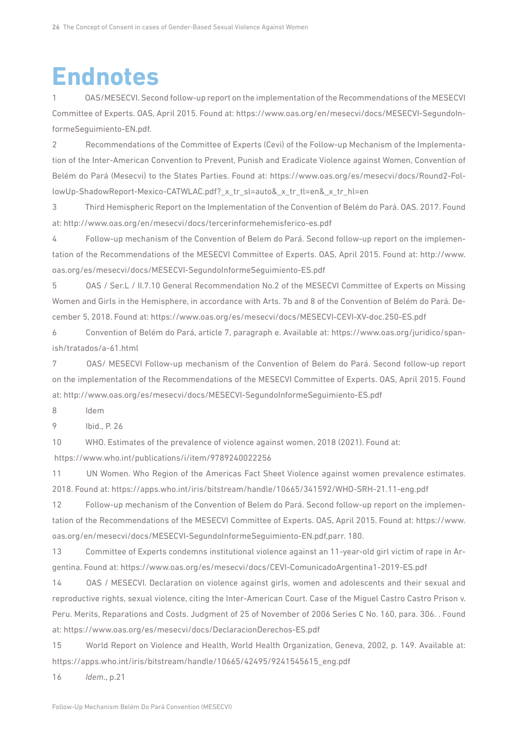## <span id="page-25-0"></span>**Endnotes**

1 OAS/MESECVI. Second follow-up report on the implementation of the Recommendations of the MESECVI Committee of Experts. OAS, April 2015. Found at: [https://www.oas.org/en/mesecvi/docs/MESECVI-SegundoIn](https://www.oas.org/en/mesecvi/docs/MESECVI-SegundoInformeSeguimiento-EN.pdf)[formeSeguimiento-EN.pdf.](https://www.oas.org/en/mesecvi/docs/MESECVI-SegundoInformeSeguimiento-EN.pdf)

2 Recommendations of the Committee of Experts (Cevi) of the Follow-up Mechanism of the Implementation of the Inter-American Convention to Prevent, Punish and Eradicate Violence against Women, Convention of Belém do Pará (Mesecvi) to the States Parties. Found at: [https://www.oas.org/es/mesecvi/docs/Round2-Fol](https://www.oas.org/es/mesecvi/docs/Round2-FollowUp-ShadowReport-Mexico-CATWLAC.pdf?_x_tr_sl=auto&_x_tr_tl=en&_x_tr_hl=en)[lowUp-ShadowReport-Mexico-CATWLAC.pdf?\\_x\\_tr\\_sl=auto&\\_x\\_tr\\_tl=en&\\_x\\_tr\\_hl=en](https://www.oas.org/es/mesecvi/docs/Round2-FollowUp-ShadowReport-Mexico-CATWLAC.pdf?_x_tr_sl=auto&_x_tr_tl=en&_x_tr_hl=en)

3 Third Hemispheric Report on the Implementation of the Convention of Belém do Pará. OAS. 2017. Found at: <http://www.oas.org/en/mesecvi/docs/tercerinformehemisferico-es.pdf>

4 Follow-up mechanism of the Convention of Belem do Pará. Second follow-up report on the implementation of the Recommendations of the MESECVI Committee of Experts. OAS, April 2015. Found at: [http://www.](http://www.oas.org/es/mesecvi/docs/MESECVI-SegundoInformeSeguimiento-ES.pdf) [oas.org/es/mesecvi/docs/MESECVI-SegundoInformeSeguimiento-ES.pdf](http://www.oas.org/es/mesecvi/docs/MESECVI-SegundoInformeSeguimiento-ES.pdf)

5 OAS / Ser.L / II.7.10 General Recommendation No.2 of the MESECVI Committee of Experts on Missing Women and Girls in the Hemisphere, in accordance with Arts. 7b and 8 of the Convention of Belém do Pará. December 5, 2018. Found at: <https://www.oas.org/es/mesecvi/docs/MESECVI-CEVI-XV-doc.250-ES.pdf>

6 Convention of Belém do Pará, article 7, paragraph e. Available at: [https://www.oas.org/juridico/span](https://www.oas.org/juridico/spanish/tratados/a-61.html)[ish/tratados/a-61.html](https://www.oas.org/juridico/spanish/tratados/a-61.html)

7 OAS/ MESECVI Follow-up mechanism of the Convention of Belem do Pará. Second follow-up report on the implementation of the Recommendations of the MESECVI Committee of Experts. OAS, April 2015. Found at:<http://www.oas.org/es/mesecvi/docs/MESECVI-SegundoInformeSeguimiento-ES.pdf>

8 Idem

9 Ibid., P. 26

10 WHO. Estimates of the prevalence of violence against women, 2018 (2021). Found at:  [https://www.who.int/publications/i/item/9789240022256](https://translate.google.com/translate?hl=en&prev=_t&sl=auto&tl=en&u=https://www.google.com/url%3Fq%3Dhttps://www.who.int/publications/i/item/9789240022256%26sa%3DD%26source%3Deditors%26ust%3D1621973769143000%26usg%3DAOvVaw0vrpwCLP7uvVUdIaR8MQ8o)

11 UN Women. Who Region of the Americas Fact Sheet Violence against women prevalence estimates. 2018. Found at: <https://apps.who.int/iris/bitstream/handle/10665/341592/WHO-SRH-21.11-eng.pdf>

12 Follow-up mechanism of the Convention of Belem do Pará. Second follow-up report on the implementation of the Recommendations of the MESECVI Committee of Experts. OAS, April 2015. Found at: [https://www.](https://www.oas.org/en/mesecvi/docs/MESECVI-SegundoInformeSeguimiento-EN.pdf) [oas.org/en/mesecvi/docs/MESECVI-SegundoInformeSeguimiento-EN.pdf,](https://www.oas.org/en/mesecvi/docs/MESECVI-SegundoInformeSeguimiento-EN.pdf)parr. 180.

13 Committee of Experts condemns institutional violence against an 11-year-old girl victim of rape in Argentina. Found at: <https://www.oas.org/es/mesecvi/docs/CEVI-ComunicadoArgentina1-2019-ES.pdf>

14 OAS / MESECVI. Declaration on violence against girls, women and adolescents and their sexual and reproductive rights, sexual violence, citing the Inter-American Court. Case of the Miguel Castro Castro Prison v. Peru. Merits, Reparations and Costs. Judgment of 25 of November of 2006 Series C No. 160, para. 306. . Found at: <https://www.oas.org/es/mesecvi/docs/DeclaracionDerechos-ES.pdf>

15 World Report on Violence and Health, World Health Organization, Geneva, 2002, p. 149. Available at: [https://apps.who.int/iris/bitstream/handle/10665/42495/9241545615\\_eng.pdf](https://apps.who.int/iris/bitstream/handle/10665/42495/9241545615_eng.pdf)

16 *Idem*., p.21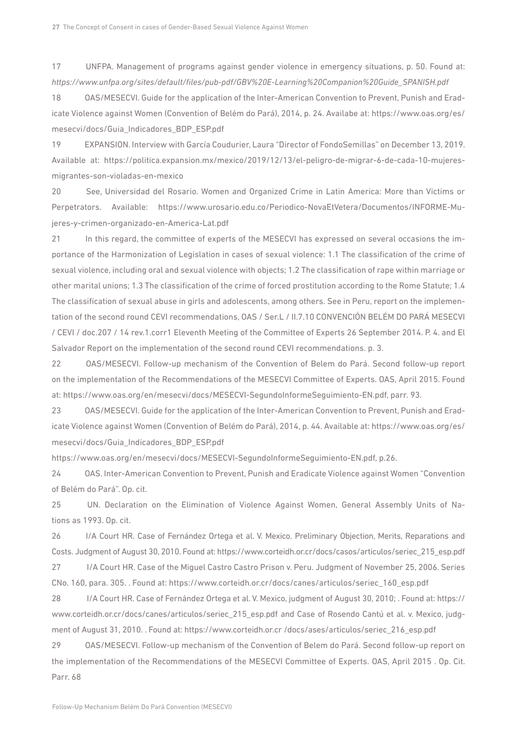17 UNFPA. Management of programs against gender violence in emergency situations, p. 50. Found at: *[https://www.unfpa.org/sites/default/files/pub-pdf/GBV%20E-Learning%20Companion%20Guide\\_SPANISH.pdf](https://www.unfpa.org/sites/default/files/pub-pdf/GBV E-Learning Companion Guide_SPANISH.pdf)*

18 OAS/MESECVI. Guide for the application of the Inter-American Convention to Prevent, Punish and Eradicate Violence against Women (Convention of Belém do Pará), 2014, p. 24. Availabe at: [https://www.oas.org/es/](https://www.oas.org/es/mesecvi/docs/Guia_Indicadores_BDP_ESP.pdf) [mesecvi/docs/Guia\\_Indicadores\\_BDP\\_ESP.pdf](https://www.oas.org/es/mesecvi/docs/Guia_Indicadores_BDP_ESP.pdf)

19 EXPANSION. Interview with García Coudurier, Laura "Director of FondoSemillas" on December 13, 2019. Available at: [https://politica.expansion.mx/mexico/2019/12/13/el-peligro-de-migrar-6-de-cada-10-mujeres](https://politica.expansion.mx/mexico/2019/12/13/el-peligro-de-migrar-6-de-cada-10-mujeres-migrantes-son-violadas-en-mexico)[migrantes-son-violadas-en-mexico](https://politica.expansion.mx/mexico/2019/12/13/el-peligro-de-migrar-6-de-cada-10-mujeres-migrantes-son-violadas-en-mexico)

20 See, Universidad del Rosario. Women and Organized Crime in Latin America: More than Victims or Perpetrators. Available: [https://www.urosario.edu.co/Periodico-NovaEtVetera/Documentos/INFORME-Mu](https://www.urosario.edu.co/Periodico-NovaEtVetera/Documentos/INFORME-Mujeres-y-crimen-organizado-en-America-Lat.pdf)[jeres-y-crimen-organizado-en-America-Lat.pdf](https://www.urosario.edu.co/Periodico-NovaEtVetera/Documentos/INFORME-Mujeres-y-crimen-organizado-en-America-Lat.pdf)

21 In this regard, the committee of experts of the MESECVI has expressed on several occasions the importance of the Harmonization of Legislation in cases of sexual violence: 1.1 The classification of the crime of sexual violence, including oral and sexual violence with objects; 1.2 The classification of rape within marriage or other marital unions; 1.3 The classification of the crime of forced prostitution according to the Rome Statute; 1.4 The classification of sexual abuse in girls and adolescents, among others. See in Peru, report on the implementation of the second round CEVI recommendations, OAS / Ser.L / II.7.10 CONVENCIÓN BELÉM DO PARÁ MESECVI / CEVI / doc.207 / 14 rev.1.corr1 Eleventh Meeting of the Committee of Experts 26 September 2014. P. 4. and El Salvador Report on the implementation of the second round CEVI recommendations. p. 3.

22 OAS/MESECVI. Follow-up mechanism of the Convention of Belem do Pará. Second follow-up report on the implementation of the Recommendations of the MESECVI Committee of Experts. OAS, April 2015. Found at: <https://www.oas.org/en/mesecvi/docs/MESECVI-SegundoInformeSeguimiento-EN.pdf>, parr. 93.

23 OAS/MESECVI. Guide for the application of the Inter-American Convention to Prevent, Punish and Eradicate Violence against Women (Convention of Belém do Pará), 2014, p. 44. Available at: [https://www.oas.org/es/](https://www.oas.org/es/mesecvi/docs/Guia_Indicadores_BDP_ESP.pdf) [mesecvi/docs/Guia\\_Indicadores\\_BDP\\_ESP.pdf](https://www.oas.org/es/mesecvi/docs/Guia_Indicadores_BDP_ESP.pdf)

<https://www.oas.org/en/mesecvi/docs/MESECVI-SegundoInformeSeguimiento-EN.pdf>, p.26.

24 OAS. Inter-American Convention to Prevent, Punish and Eradicate Violence against Women "Convention of Belém do Pará". Op. cit.

25 UN. Declaration on the Elimination of Violence Against Women, General Assembly Units of Nations as 1993. Op. cit.

26 [I/A](https://translate.googleusercontent.com/translate_f#_ftnref26) Court HR. Case of Fernández Ortega et al. V. Mexico. Preliminary Objection, Merits, Reparations and Costs. Judgment of August 30, 2010. Found at: [https://www.corteidh.or.cr/docs/casos/articulos/seriec\\_215\\_esp.pdf](https://www.corteidh.or.cr/docs/casos/articulos/seriec_215_esp.pdf)

27 [I/A C](https://translate.googleusercontent.com/translate_f#_ftnref27)ourt HR. Case of the Miguel Castro Castro Prison v. Peru. Judgment of November 25, 2006. Series CNo. 160, para. 305. . Found at: [https://www.corteidh.or.cr/docs/canes/articulos/seriec\\_160\\_esp.pdf](https://www.corteidh.or.cr/docs/canes/articulos/seriec_160_esp.pdf)

28 [I/A C](https://translate.googleusercontent.com/translate_f#_ftnref28)ourt HR. Case of Fernández Ortega et al. V. Mexico, judgment of August 30, 2010; . Found at: [https://](https://www.corteidh.or.cr/docs/canes/articulos/seriec_215_esp.pdf) [www.corteidh.or.cr/docs/canes/articulos/seriec\\_215\\_esp.pdf](https://www.corteidh.or.cr/docs/canes/articulos/seriec_215_esp.pdf) and Case of Rosendo Cantú et al. v. Mexico, judgment of August 31, 2010. . Found at: https://www.corteidh.or.cr /docs/ases/articulos/seriec\_216\_esp.pdf

29 OAS/MESECVI. Follow-up mechanism of the Convention of Belem do Pará. Second follow-up report on the implementation of the Recommendations of the MESECVI Committee of Experts. OAS, April 2015 . Op. Cit. Parr. 68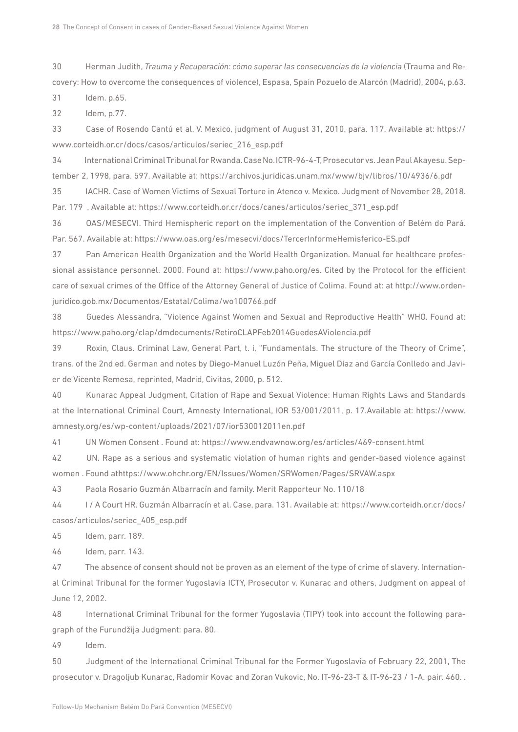30 Herman Judith, *Trauma y Recuperación: cómo superar las consecuencias de la violencia* (Trauma and Recovery: How to overcome the consequences of violence), Espasa, Spain Pozuelo de Alarcón (Madrid), 2004, p.63.

31 Idem. p.65.

32 Idem, p.77.

33 Case of Rosendo Cantú et al. V. Mexico, judgment of August 31, 2010. para. 117. Available at: [https://](https://www.corteidh.or.cr/docs/casos/articulos/seriec_216_esp.pdf) [www.corteidh.or.cr/docs/casos/articulos/seriec\\_216\\_esp.pdf](https://www.corteidh.or.cr/docs/casos/articulos/seriec_216_esp.pdf)

34 International Criminal Tribunal for Rwanda. Case No. ICTR-96-4-T, Prosecutor vs. Jean Paul Akayesu. September 2, 1998, para. 597. Available at: <https://archivos.juridicas.unam.mx/www/bjv/libros/10/4936/6.pdf>

35 IACHR. Case of Women Victims of Sexual Torture in Atenco v. Mexico. Judgment of November 28, 2018. Par. 179 . Available at: [https://www.corteidh.or.cr/docs/canes/articulos/seriec\\_371\\_esp.pdf](https://www.corteidh.or.cr/docs/canes/articulos/seriec_371_esp.pdf)

36 OAS/MESECVI. Third Hemispheric report on the implementation of the Convention of Belém do Pará. Par. 567. Available at: <https://www.oas.org/es/mesecvi/docs/TercerInformeHemisferico-ES.pdf>

37 Pan American Health Organization and the World Health Organization. Manual for healthcare professional assistance personnel. 2000. Found at: [https://www.paho.org/es.](https://www.paho.org/es) Cited by the Protocol for the efficient care of sexual crimes of the Office of the Attorney General of Justice of Colima. Found at: at [http://www.orden](http://www.ordenjuridico.gob.mx/Documentos/Estatal/Colima/wo100766.pdf)[juridico.gob.mx/Documentos/Estatal/Colima/wo100766.pdf](http://www.ordenjuridico.gob.mx/Documentos/Estatal/Colima/wo100766.pdf)

38 Guedes Alessandra, "Violence Against Women and Sexual and Reproductive Health" WHO. Found at: <https://www.paho.org/clap/dmdocuments/RetiroCLAPFeb2014GuedesAViolencia.pdf>

39 Roxin, Claus. Criminal Law, General Part, t. i, "Fundamentals. The structure of the Theory of Crime", trans. of the 2nd ed. German and notes by Diego-Manuel Luzón Peña, Miguel Díaz and García Conlledo and Javier de Vicente Remesa, reprinted, Madrid, Civitas, 2000, p. 512.

40 Kunarac Appeal Judgment, Citation of Rape and Sexual Violence: Human Rights Laws and Standards at the International Criminal Court, Amnesty International, IOR 53/001/2011, p. 17.Available at: [https://www.](https://www.amnesty.org/es/wp-content/uploads/2021/07/ior530012011en.pdf) [amnesty.org/es/wp-content/uploads/2021/07/ior530012011en.pdf](https://www.amnesty.org/es/wp-content/uploads/2021/07/ior530012011en.pdf)

41 UN Women Consent . Found at: <https://www.endvawnow.org/es/articles/469-consent.html>

42 UN. Rape as a serious and systematic violation of human rights and gender-based violence against women . Found at<https://www.ohchr.org/EN/Issues/Women/SRWomen/Pages/SRVAW.aspx>

43 Paola Rosario Guzmán Albarracín and family. Merit Rapporteur No. 110/18

44 I / A Court HR. Guzmán Albarracín et al. Case, para. 131. Available at: [https://www.corteidh.or.cr/docs/](https://www.corteidh.or.cr/docs/casos/articulos/seriec_405_esp.pdf) [casos/articulos/seriec\\_405\\_esp.pdf](https://www.corteidh.or.cr/docs/casos/articulos/seriec_405_esp.pdf)

45 Idem, parr. 189.

46 Idem, parr. 143.

47 The absence of consent should not be proven as an element of the type of crime of slavery. International Criminal Tribunal for the former Yugoslavia ICTY, Prosecutor v. Kunarac and others, Judgment on appeal of June 12, 2002.

48 International Criminal Tribunal for the former Yugoslavia (TIPY) took into account the following paragraph of the Furundžija Judgment: para. 80.

49 Idem.

50 Judgment of the International Criminal Tribunal for the Former Yugoslavia of February 22, 2001, The prosecutor v. Dragoljub Kunarac, Radomir Kovac and Zoran Vukovic, No. IT-96-23-T & IT-96-23 / 1-A. pair. 460. .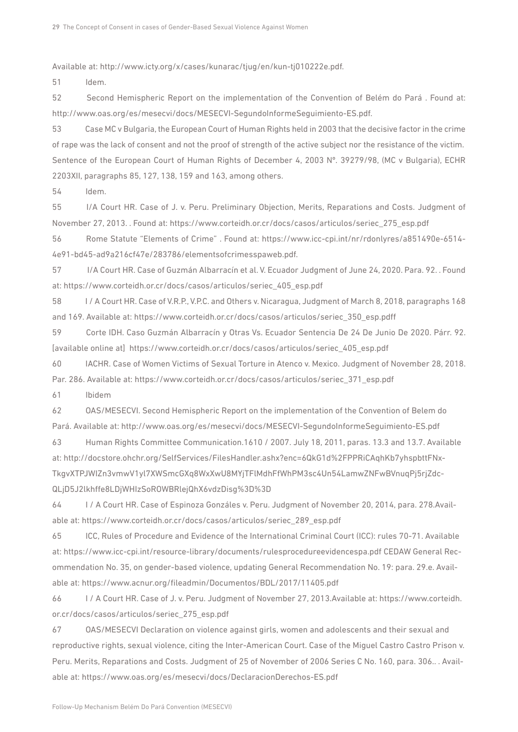Available at: <http://www.icty.org/x/cases/kunarac/tjug/en/kun-tj010222e.pdf>.

51 Idem.

52 Second Hemispheric Report on the implementation of the Convention of Belém do Pará . Found at: <http://www.oas.org/es/mesecvi/docs/MESECVI-SegundoInformeSeguimiento-ES.pdf>.

53 Case MC v Bulgaria, the European Court of Human Rights held in 2003 that the decisive factor in the crime of rape was the lack of consent and not the proof of strength of the active subject nor the resistance of the victim. Sentence of the European Court of Human Rights of December 4, 2003 Nº. 39279/98, (MC v Bulgaria), ECHR 2203XII, paragraphs 85, 127, 138, 159 and 163, among others.

54 [Idem.](https://translate.googleusercontent.com/translate_f#_ftnref50)

55 I/A Court HR. Case of J. v. Peru. Preliminary Objection, Merits, Reparations and Costs. Judgment of November 27, 2013. . Found at: [https://www.corteidh.or.cr/docs/casos/articulos/seriec\\_275\\_esp.pdf](https://www.corteidh.or.cr/docs/casos/articulos/seriec_275_esp.pdf)

56 Rome Statute "Elements of Crime" . Found at: [https://www.icc-cpi.int/nr/rdonlyres/a851490e-6514-](https://www.icc-cpi.int/nr/rdonlyres/a851490e-6514-4e91-bd45-ad9a216cf47e/283786/elementsofcrimesspaweb.pdf) [4e91-bd45-ad9a216cf47e/283786/elementsofcrimesspaweb.pdf](https://www.icc-cpi.int/nr/rdonlyres/a851490e-6514-4e91-bd45-ad9a216cf47e/283786/elementsofcrimesspaweb.pdf).

57 [I/A](https://translate.googleusercontent.com/translate_f#_ftnref53) Court HR. Case of Guzmán Albarracín et al. V. Ecuador Judgment of June 24, 2020. Para. 92. . Found at: [https://www.corteidh.or.cr/docs/casos/articulos/seriec\\_405\\_esp.pdf](https://www.corteidh.or.cr/docs/casos/articulos/seriec_405_esp.pdf)

58 I / A Court HR. Case of V.R.P., V.P.C. and Others v. Nicaragua, Judgment of March 8, 2018, paragraphs 168 and 169. Available at: [https://www.corteidh.or.cr/docs/casos/articulos/seriec\\_350\\_esp.pdff](https://www.corteidh.or.cr/docs/casos/articulos/seriec_350_esp.pdf)

59 Corte IDH. Caso Guzmán Albarracín y Otras Vs. Ecuador Sentencia De 24 De Junio De 2020. Párr. 92. [available online at] [https://www.corteidh.or.cr/docs/casos/articulos/seriec\\_405\\_esp.pdf](https://www.corteidh.or.cr/docs/casos/articulos/seriec_405_esp.pdf) 

60 IACHR. Case of Women Victims of Sexual Torture in Atenco v. Mexico. Judgment of November 28, 2018.

Par. 286. Available at: [https://www.corteidh.or.cr/docs/casos/articulos/seriec\\_371\\_esp.pdf](https://www.corteidh.or.cr/docs/casos/articulos/seriec_371_esp.pdf)

61 Ibidem

62 OAS/MESECVI. Second Hemispheric Report on the implementation of the Convention of Belem do Pará. Available at: <http://www.oas.org/es/mesecvi/docs/MESECVI-SegundoInformeSeguimiento-ES.pdf>

63 Human Rights Committee Communication.1610 / 2007. July 18, 2011, paras. 13.3 and 13.7. Available at: [http://docstore.ohchr.org/SelfServices/FilesHandler.ashx?enc=6QkG1d%2FPPRiCAqhKb7yhspbttFNx](http://docstore.ohchr.org/SelfServices/FilesHandler.ashx?enc=6QkG1d%2FPPRiCAqhKb7yhspbttFNxTkgvXTPJWIZn3vmwV1yl7XWSmcGXq8WxXwU8MYjTFlMdhFfWhPM3sc4Un54LamwZNFwBVnuqPj5rjZdcQLjD5J2lkhffe8LDjWHIzSoROWBRlejQhX6vdzDisg%3D%3D)-[TkgvXTPJWIZn3vmwV1yl7XWSmcGXq8WxXwU8MYjTFlMdhFfWhPM3sc4Un54LamwZNFwBVnuqPj5rjZdc](http://docstore.ohchr.org/SelfServices/FilesHandler.ashx?enc=6QkG1d%2FPPRiCAqhKb7yhspbttFNxTkgvXTPJWIZn3vmwV1yl7XWSmcGXq8WxXwU8MYjTFlMdhFfWhPM3sc4Un54LamwZNFwBVnuqPj5rjZdcQLjD5J2lkhffe8LDjWHIzSoROWBRlejQhX6vdzDisg%3D%3D)-[QLjD5J2lkhffe8LDjWHIzSoROWBRlejQhX6vdzDisg%3D%3D](http://docstore.ohchr.org/SelfServices/FilesHandler.ashx?enc=6QkG1d%2FPPRiCAqhKb7yhspbttFNxTkgvXTPJWIZn3vmwV1yl7XWSmcGXq8WxXwU8MYjTFlMdhFfWhPM3sc4Un54LamwZNFwBVnuqPj5rjZdcQLjD5J2lkhffe8LDjWHIzSoROWBRlejQhX6vdzDisg%3D%3D)

64 I / A Court HR. Case of Espinoza Gonzáles v. Peru. Judgment of November 20, 2014, para. 278.Available at: [https://www.corteidh.or.cr/docs/casos/articulos/seriec\\_289\\_esp.pdf](https://www.corteidh.or.cr/docs/casos/articulos/seriec_289_esp.pdf)

65 ICC, Rules of Procedure and Evidence of the International Criminal Court (ICC): rules 70-71. Available at: <https://www.icc-cpi.int/resource-library/documents/rulesprocedureevidencespa.pdf>CEDAW General Recommendation No. 35, on gender-based violence, updating General Recommendation No. 19: para. 29.e. Available at: <https://www.acnur.org/fileadmin/Documentos/BDL/2017/11405.pdf>

66 I / A Court HR. Case of J. v. Peru. Judgment of November 27, 2013.Available at: [https://www.corteidh.](https://www.corteidh.or.cr/docs/casos/articulos/seriec_275_esp.pdf) [or.cr/docs/casos/articulos/seriec\\_275\\_esp.pdf](https://www.corteidh.or.cr/docs/casos/articulos/seriec_275_esp.pdf)

67 OAS/MESECVI Declaration on violence against girls, women and adolescents and their sexual and reproductive rights, sexual violence, citing the Inter-American Court. Case of the Miguel Castro Castro Prison v. Peru. Merits, Reparations and Costs. Judgment of 25 of November of 2006 Series C No. 160, para. 306.. . Available at:<https://www.oas.org/es/mesecvi/docs/DeclaracionDerechos-ES.pdf>